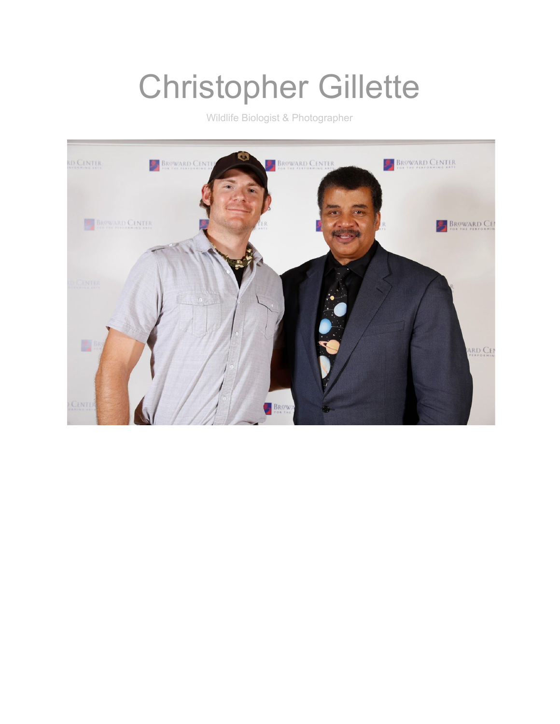# Christopher Gillette

Wildlife Biologist & Photographer

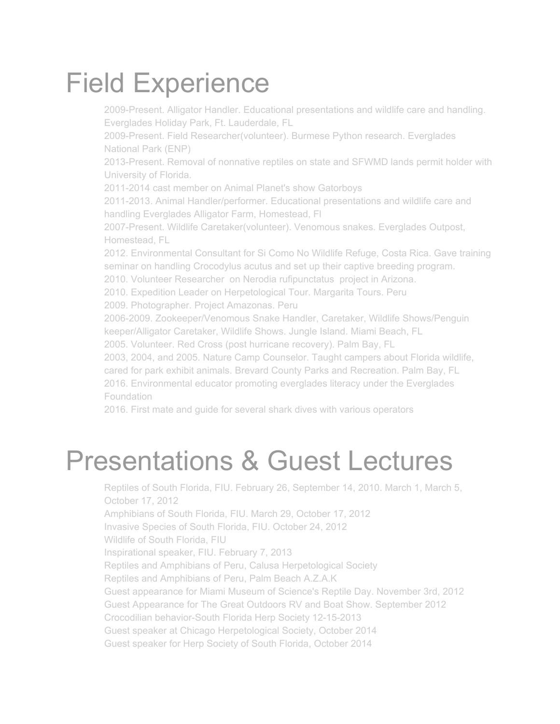## Field Experience

2009-Present. Alligator Handler. Educational presentations and wildlife care and handling. Everglades Holiday Park, Ft. Lauderdale, FL 2009-Present. Field Researcher(volunteer). Burmese Python research. Everglades National Park (ENP) 2013-Present. Removal of nonnative reptiles on state and SFWMD lands permit holder with University of Florida. 2011-2014 cast member on Animal Planet's show Gatorboys 2011-2013. Animal Handler/performer. Educational presentations and wildlife care and handling Everglades Alligator Farm, Homestead, Fl ● 2007-Present. Wildlife Caretaker(volunteer). Venomous snakes. Everglades Outpost, Homestead, FL 2012. Environmental Consultant for Si Como No Wildlife Refuge, Costa Rica. Gave training seminar on handling Crocodylus acutus and set up their captive breeding program. 2010. Volunteer Researcher on Nerodia rufipunctatus project in Arizona. 2010. Expedition Leader on Herpetological Tour. Margarita Tours. Peru 2009. Photographer. Project Amazonas. Peru 2006-2009. Zookeeper/Venomous Snake Handler, Caretaker, Wildlife Shows/Penguin keeper/Alligator Caretaker, Wildlife Shows. Jungle Island. Miami Beach, FL 2005. Volunteer. Red Cross (post hurricane recovery). Palm Bay, FL 2003, 2004, and 2005. Nature Camp Counselor. Taught campers about Florida wildlife, cared for park exhibit animals. Brevard County Parks and Recreation. Palm Bay, FL 2016. Environmental educator promoting everglades literacy under the Everglades Foundation 2016. First mate and guide for several shark dives with various operators

## Presentations & Guest Lectures

Reptiles of South Florida, FIU. February 26, September 14, 2010. March 1, March 5, October 17, 2012 Amphibians of South Florida, FIU. March 29, October 17, 2012 Invasive Species of South Florida, FIU. October 24, 2012 Wildlife of South Florida, FIU ● Inspirational speaker, FIU. February 7, 2013 Reptiles and Amphibians of Peru, Calusa Herpetological Society Reptiles and Amphibians of Peru, Palm Beach A.Z.A.K Guest appearance for Miami Museum of Science's Reptile Day. November 3rd, 2012 Guest Appearance for The Great Outdoors RV and Boat Show. September 2012 ● Crocodilian behavior-South Florida Herp Society 12-15-2013 Guest speaker at Chicago Herpetological Society, October 2014 Guest speaker for Herp Society of South Florida, October 2014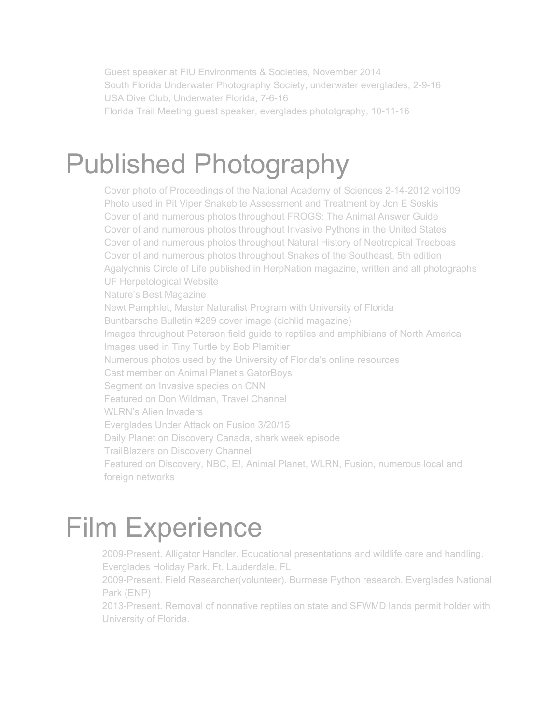Guest speaker at FIU Environments & Societies, November 2014 South Florida Underwater Photography Society, underwater everglades, 2-9-16 USA Dive Club, Underwater Florida, 7-6-16 Florida Trail Meeting guest speaker, everglades phototgraphy, 10-11-16

### Published Photography

Cover photo of Proceedings of the National Academy of Sciences 2-14-2012 vol109 Photo used in Pit Viper Snakebite Assessment and Treatment by Jon E Soskis Cover of and numerous photos throughout FROGS: The Animal Answer Guide Cover of and numerous photos throughout Invasive Pythons in the United States Cover of and numerous photos throughout Natural History of Neotropical Treeboas Cover of and numerous photos throughout Snakes of the Southeast, 5th edition Agalychnis Circle of Life published in HerpNation magazine, written and all photographs UF Herpetological Website Nature's Best Magazine Newt Pamphlet, Master Naturalist Program with University of Florida Buntbarsche Bulletin #289 cover image (cichlid magazine) Images throughout Peterson field guide to reptiles and amphibians of North America Images used in Tiny Turtle by Bob Plamitier Numerous photos used by the University of Florida's online resources Cast member on Animal Planet's GatorBoys Segment on Invasive species on CNN **Featured on Don Wildman, Travel Channel** WLRN's Alien Invaders Everglades Under Attack on Fusion 3/20/15 Daily Planet on Discovery Canada, shark week episode **TrailBlazers on Discovery Channel** Featured on Discovery, NBC, E!, Animal Planet, WLRN, Fusion, numerous local and foreign networks

## Film Experience

2009-Present. Alligator Handler. Educational presentations and wildlife care and handling. Everglades Holiday Park, Ft. Lauderdale, FL

2009-Present. Field Researcher(volunteer). Burmese Python research. Everglades National Park (ENP)

2013-Present. Removal of nonnative reptiles on state and SFWMD lands permit holder with University of Florida.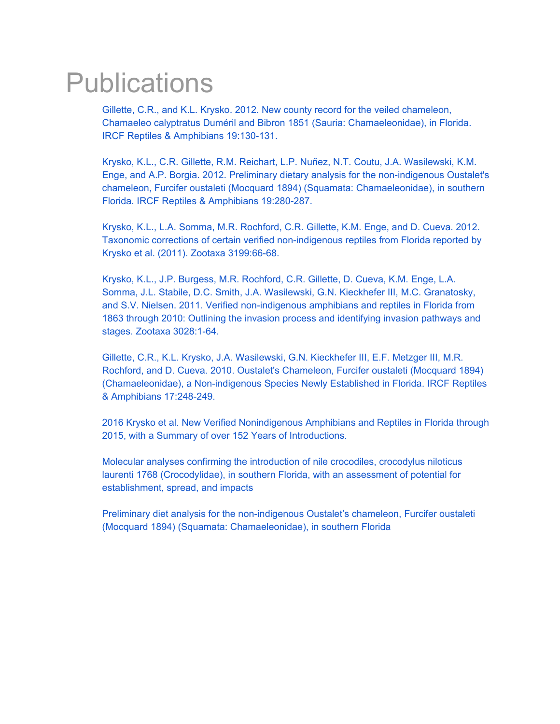### **Publications**

[Gillette, C.R., and K.L. Krysko. 2012. New county record for the veiled chameleon,](http://www.ircf.org/journal/wp-content/uploads/2012/07/RA_19.2_130-131_IntroducedSpecies3-Gillette-Krysko_print.pdf) [Chamaeleo calyptratus Duméril and Bibron 1851 \(Sauria: Chamaeleonidae\), in Florida.](http://www.ircf.org/journal/wp-content/uploads/2012/07/RA_19.2_130-131_IntroducedSpecies3-Gillette-Krysko_print.pdf) [IRCF Reptiles & Amphibians 19:130-131.](http://www.ircf.org/journal/wp-content/uploads/2012/07/RA_19.2_130-131_IntroducedSpecies3-Gillette-Krysko_print.pdf)

● [Krysko, K.L., C.R. Gillette, R.M. Reichart, L.P. Nuñez, N.T. Coutu, J.A. Wasilewski, K.M.](http://www.ircf.org/journal/wp-content/uploads/2013/01/RA_19.4_280-287_IntroSpec-Krysko-Fous_print.pdf) [Enge, and A.P. Borgia. 2012. Preliminary dietary analysis for the non-indigenous Oustalet's](http://www.ircf.org/journal/wp-content/uploads/2013/01/RA_19.4_280-287_IntroSpec-Krysko-Fous_print.pdf) [chameleon, Furcifer oustaleti \(Mocquard 1894\) \(Squamata: Chamaeleonidae\), in southern](http://www.ircf.org/journal/wp-content/uploads/2013/01/RA_19.4_280-287_IntroSpec-Krysko-Fous_print.pdf) [Florida. IRCF Reptiles & Amphibians 19:280-287.](http://www.ircf.org/journal/wp-content/uploads/2013/01/RA_19.4_280-287_IntroSpec-Krysko-Fous_print.pdf)

● [Krysko, K.L., L.A. Somma, M.R. Rochford, C.R. Gillette, K.M. Enge, and D. Cueva. 2012.](http://www.flmnh.ufl.edu/herpetology/kk/pdf/2012_Krysko_et_al_2011_Krysko_et_al_Erratum.pdf) [Taxonomic corrections of certain verified non-indigenous reptiles from Florida reported by](http://www.flmnh.ufl.edu/herpetology/kk/pdf/2012_Krysko_et_al_2011_Krysko_et_al_Erratum.pdf) [Krysko et al. \(2011\). Zootaxa 3199:66-68.](http://www.flmnh.ufl.edu/herpetology/kk/pdf/2012_Krysko_et_al_2011_Krysko_et_al_Erratum.pdf)

● [Krysko, K.L., J.P. Burgess, M.R. Rochford, C.R. Gillette, D. Cueva, K.M. Enge, L.A.](http://www.flmnh.ufl.edu/herpetology/kk/pdf/2011_Krysko_et_al_Verified_herps_in_Florida.pdf) [Somma, J.L. Stabile, D.C. Smith, J.A. Wasilewski, G.N. Kieckhefer III, M.C. Granatosky,](http://www.flmnh.ufl.edu/herpetology/kk/pdf/2011_Krysko_et_al_Verified_herps_in_Florida.pdf) [and S.V. Nielsen. 2011. Verified non-indigenous amphibians and reptiles in Florida from](http://www.flmnh.ufl.edu/herpetology/kk/pdf/2011_Krysko_et_al_Verified_herps_in_Florida.pdf) [1863 through 2010: Outlining the invasion process and identifying invasion pathways and](http://www.flmnh.ufl.edu/herpetology/kk/pdf/2011_Krysko_et_al_Verified_herps_in_Florida.pdf) [stages. Zootaxa 3028:1-64.](http://www.flmnh.ufl.edu/herpetology/kk/pdf/2011_Krysko_et_al_Verified_herps_in_Florida.pdf)

● [Gillette, C.R., K.L. Krysko, J.A. Wasilewski, G.N. Kieckhefer III, E.F. Metzger III, M.R.](http://www.flmnh.ufl.edu/herpetology/kk/pdf/2010_Gillette_et_al_Furcifer_oustaleti.pdf) [Rochford, and D. Cueva. 2010. Oustalet's Chameleon, Furcifer oustaleti \(Mocquard 1894\)](http://www.flmnh.ufl.edu/herpetology/kk/pdf/2010_Gillette_et_al_Furcifer_oustaleti.pdf) [\(Chamaeleonidae\), a Non-indigenous Species Newly Established in Florida. IRCF Reptiles](http://www.flmnh.ufl.edu/herpetology/kk/pdf/2010_Gillette_et_al_Furcifer_oustaleti.pdf) [& Amphibians 17:248-249.](http://www.flmnh.ufl.edu/herpetology/kk/pdf/2010_Gillette_et_al_Furcifer_oustaleti.pdf)

[2016 Krysko et al. New Verified Nonindigenous Amphibians and Reptiles in Florida through](https://www.researchgate.net/publication/306484582_2016_Krysko_et_al_New_Verified_Nonindigenous_Amphibians_and_Reptiles_in_Florida_through_2015_with_a_Summary_of_over_152_Years_of_Introductions) [2015, with a Summary of over 152 Years of Introductions.](https://www.researchgate.net/publication/306484582_2016_Krysko_et_al_New_Verified_Nonindigenous_Amphibians_and_Reptiles_in_Florida_through_2015_with_a_Summary_of_over_152_Years_of_Introductions)

[Molecular analyses confirming the introduction of nile crocodiles, crocodylus niloticus](https://www.researchgate.net/publication/301790746_Molecular_analyses_confirming_the_introduction_of_nile_crocodiles_crocodylus_niloticus_laurenti_1768_Crocodylidae_in_southern_Florida_with_an_assessment_of_potential_for_establishment_spread_and_i) [laurenti 1768 \(Crocodylidae\), in southern Florida, with an assessment of potential for](https://www.researchgate.net/publication/301790746_Molecular_analyses_confirming_the_introduction_of_nile_crocodiles_crocodylus_niloticus_laurenti_1768_Crocodylidae_in_southern_Florida_with_an_assessment_of_potential_for_establishment_spread_and_i) [establishment, spread, and impacts](https://www.researchgate.net/publication/301790746_Molecular_analyses_confirming_the_introduction_of_nile_crocodiles_crocodylus_niloticus_laurenti_1768_Crocodylidae_in_southern_Florida_with_an_assessment_of_potential_for_establishment_spread_and_i)

● [Preliminary diet analysis for the non-indigenous Oustalet's chameleon, Furcifer oustaleti](https://www.researchgate.net/publication/267333644_Preliminary_diet_analysis_for_the_non-indigenous_Oustalet%27s_chameleon_Furcifer_oustaleti_Mocquard_1894_Squamata_Chamaeleonidae_in_southern_Florida) [\(Mocquard 1894\) \(Squamata: Chamaeleonidae\), in southern Florida](https://www.researchgate.net/publication/267333644_Preliminary_diet_analysis_for_the_non-indigenous_Oustalet%27s_chameleon_Furcifer_oustaleti_Mocquard_1894_Squamata_Chamaeleonidae_in_southern_Florida)